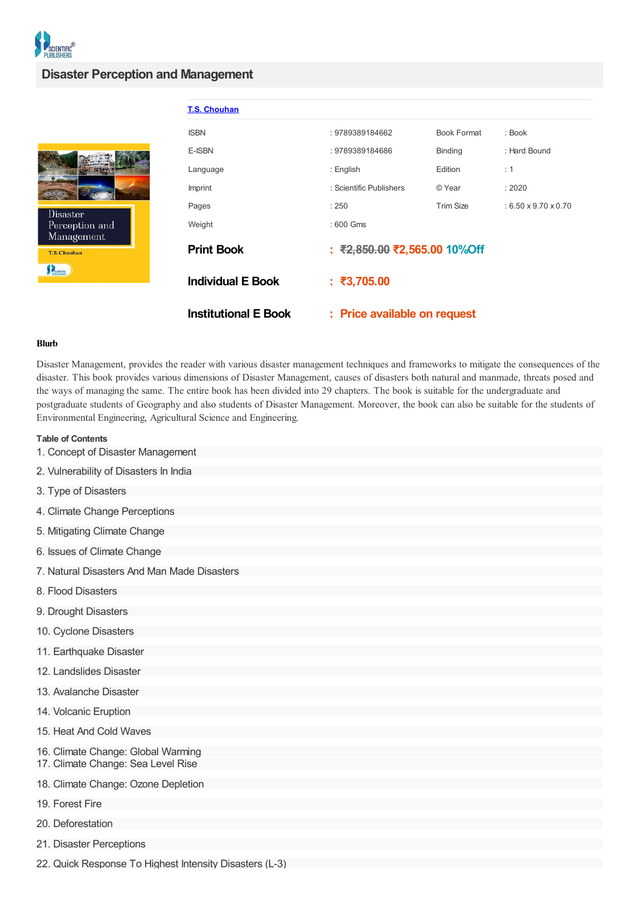## **Disaster Perception and Management**



| <b>T.S. Chouhan</b>         |                                   |                    |                                  |
|-----------------------------|-----------------------------------|--------------------|----------------------------------|
| <b>ISBN</b>                 | : 9789389184662                   | <b>Book Format</b> | : Book                           |
| E-ISBN                      | : 9789389184686                   | <b>Binding</b>     | : Hard Bound                     |
| Language                    | : English                         | Edition            | : 1                              |
| <b>Imprint</b>              | : Scientific Publishers           | © Year             | :2020                            |
| Pages                       | : 250                             | <b>Trim Size</b>   | $: 6.50 \times 9.70 \times 0.70$ |
| Weight                      | $:600$ Gms                        |                    |                                  |
| <b>Print Book</b>           | $\div$ ₹2,850.00 ₹2,565.00 10%Off |                    |                                  |
| <b>Individual E Book</b>    | : ₹3,705.00                       |                    |                                  |
| <b>Institutional E Book</b> | : Price available on request      |                    |                                  |

## **Blurb**

Disaster Management, provides the reader with various disaster management techniques and frameworks to mitigate the consequences of the disaster. This book provides various dimensions of Disaster Management, causes of disasters both natural and manmade, threats posed and the ways of managing the same. The entire book has been divided into 29 chapters. The book is suitable for the undergraduate and postgraduate students of Geography and also students of Disaster Management. Moreover, the book can also be suitable for the students of Environmental Engineering, Agricultural Science and Engineering.

## **Table of Contents**

- 1. Concept of Disaster Management
- 2. Vulnerability of Disasters In India
- 3. Type of Disasters
- 4. Climate Change Perceptions
- 5. Mitigating Climate Change
- 6. Issues of Climate Change
- 7. Natural Disasters And Man Made Disasters
- 8. Flood Disasters
- 9. Drought Disasters
- 10. Cyclone Disasters
- 11. Earthquake Disaster
- 12. Landslides Disaster
- 13. Avalanche Disaster
- 14. Volcanic Eruption
- 15. Heat And Cold Waves
- 16. Climate Change: Global Warming
- 17. Climate Change: Sea Level Rise
- 18. Climate Change: Ozone Depletion
- 19. Forest Fire
- 20. Deforestation
- 21. Disaster Perceptions
- 22. Quick Response To Highest Intensity Disasters (L-3)